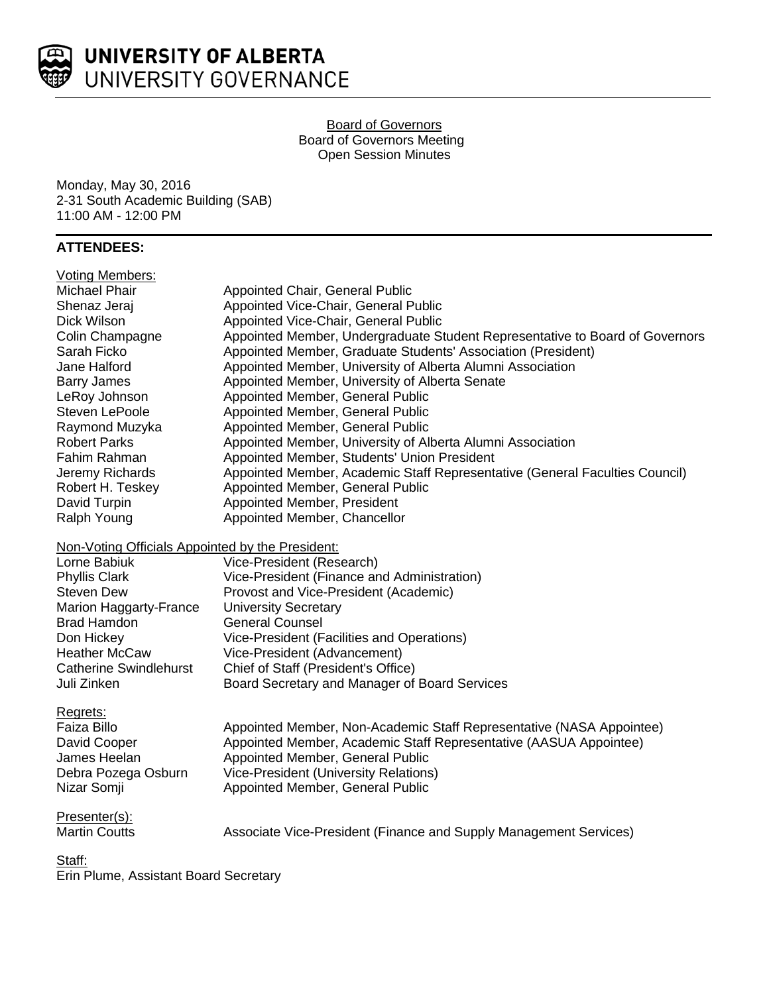

UNIVERSITY OF ALBERTA UNIVERSITY GOVERNANCE

> Board of Governors Board of Governors Meeting Open Session Minutes

Monday, May 30, 2016 2-31 South Academic Building (SAB) 11:00 AM - 12:00 PM

# **ATTENDEES:**

| <b>Voting Members:</b>                           |                                                                              |
|--------------------------------------------------|------------------------------------------------------------------------------|
| <b>Michael Phair</b>                             | Appointed Chair, General Public                                              |
| Shenaz Jeraj                                     | Appointed Vice-Chair, General Public                                         |
| Dick Wilson                                      | Appointed Vice-Chair, General Public                                         |
| Colin Champagne                                  | Appointed Member, Undergraduate Student Representative to Board of Governors |
| Sarah Ficko                                      | Appointed Member, Graduate Students' Association (President)                 |
| Jane Halford                                     | Appointed Member, University of Alberta Alumni Association                   |
| <b>Barry James</b>                               | Appointed Member, University of Alberta Senate                               |
| LeRoy Johnson                                    | Appointed Member, General Public                                             |
| Steven LePoole                                   | Appointed Member, General Public                                             |
| Raymond Muzyka                                   | Appointed Member, General Public                                             |
| <b>Robert Parks</b>                              | Appointed Member, University of Alberta Alumni Association                   |
| Fahim Rahman                                     | Appointed Member, Students' Union President                                  |
| Jeremy Richards                                  | Appointed Member, Academic Staff Representative (General Faculties Council)  |
| Robert H. Teskey                                 | Appointed Member, General Public                                             |
| David Turpin                                     | Appointed Member, President                                                  |
| Ralph Young                                      | Appointed Member, Chancellor                                                 |
| Non-Voting Officials Appointed by the President: |                                                                              |
| Lorne Babiuk                                     | Vice-President (Research)                                                    |
| <b>Phyllis Clark</b>                             | Vice-President (Finance and Administration)                                  |
| <b>Steven Dew</b>                                | Provost and Vice-President (Academic)                                        |
| Marion Haggarty-France                           | <b>University Secretary</b>                                                  |
| <b>Brad Hamdon</b>                               | <b>General Counsel</b>                                                       |
| Don Hickey                                       | Vice-President (Facilities and Operations)                                   |
| <b>Heather McCaw</b>                             | Vice-President (Advancement)                                                 |
| <b>Catherine Swindlehurst</b>                    | Chief of Staff (President's Office)                                          |
| Juli Zinken                                      | Board Secretary and Manager of Board Services                                |
| Regrets:                                         |                                                                              |
| Faiza Billo                                      | Appointed Member, Non-Academic Staff Representative (NASA Appointee)         |
| David Cooper                                     | Appointed Member, Academic Staff Representative (AASUA Appointee)            |
| James Heelan                                     | Appointed Member, General Public                                             |
| Debra Pozega Osburn                              | <b>Vice-President (University Relations)</b>                                 |
| Nizar Somji                                      | Appointed Member, General Public                                             |
| Presenter(s):                                    |                                                                              |
| <b>Martin Coutts</b>                             | Associate Vice-President (Finance and Supply Management Services)            |
| Staff:                                           |                                                                              |

Erin Plume, Assistant Board Secretary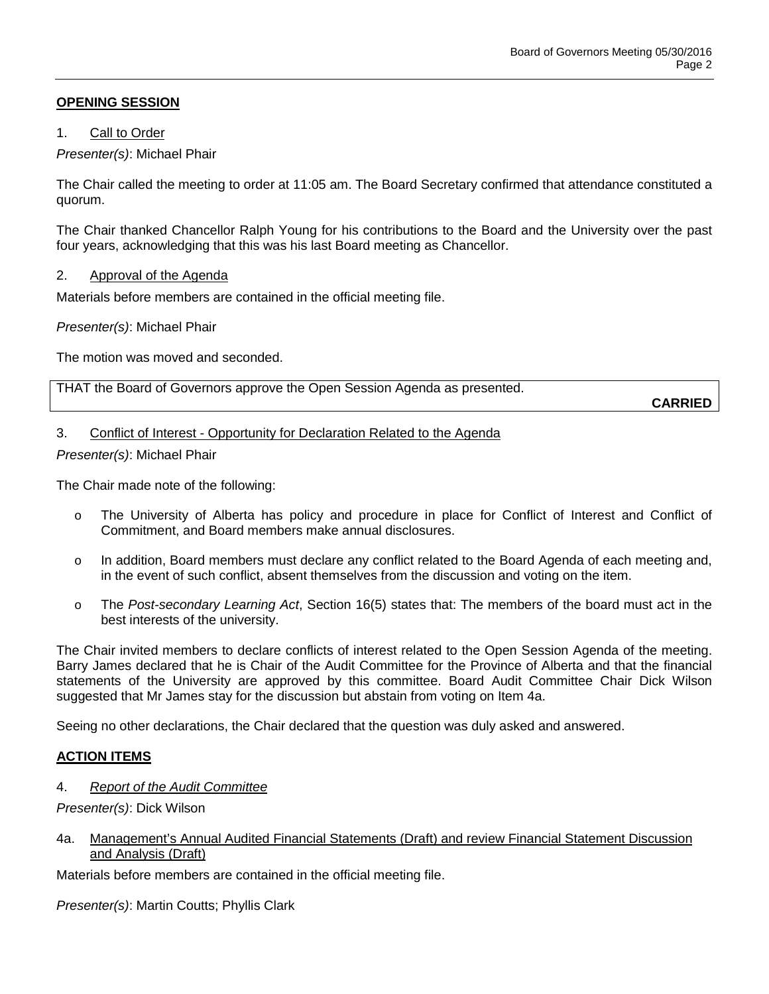## **OPENING SESSION**

## 1. Call to Order

*Presenter(s)*: Michael Phair

The Chair called the meeting to order at 11:05 am. The Board Secretary confirmed that attendance constituted a quorum.

The Chair thanked Chancellor Ralph Young for his contributions to the Board and the University over the past four years, acknowledging that this was his last Board meeting as Chancellor.

### 2. Approval of the Agenda

Materials before members are contained in the official meeting file.

*Presenter(s)*: Michael Phair

The motion was moved and seconded.

THAT the Board of Governors approve the Open Session Agenda as presented.

**CARRIED**

### 3. Conflict of Interest - Opportunity for Declaration Related to the Agenda

*Presenter(s)*: Michael Phair

The Chair made note of the following:

- o The University of Alberta has policy and procedure in place for Conflict of Interest and Conflict of Commitment, and Board members make annual disclosures.
- o In addition, Board members must declare any conflict related to the Board Agenda of each meeting and, in the event of such conflict, absent themselves from the discussion and voting on the item.
- o The *Post-secondary Learning Act*, Section 16(5) states that: The members of the board must act in the best interests of the university.

The Chair invited members to declare conflicts of interest related to the Open Session Agenda of the meeting. Barry James declared that he is Chair of the Audit Committee for the Province of Alberta and that the financial statements of the University are approved by this committee. Board Audit Committee Chair Dick Wilson suggested that Mr James stay for the discussion but abstain from voting on Item 4a.

Seeing no other declarations, the Chair declared that the question was duly asked and answered.

# **ACTION ITEMS**

4. *Report of the Audit Committee*

*Presenter(s)*: Dick Wilson

4a. Management's Annual Audited Financial Statements (Draft) and review Financial Statement Discussion and Analysis (Draft)

Materials before members are contained in the official meeting file.

*Presenter(s)*: Martin Coutts; Phyllis Clark